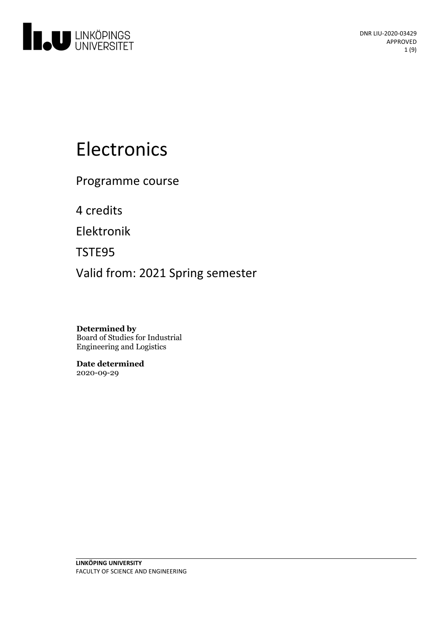

# Electronics

Programme course

4 credits

Elektronik

TSTE95

Valid from: 2021 Spring semester

**Determined by** Board of Studies for Industrial Engineering and Logistics

**Date determined** 2020-09-29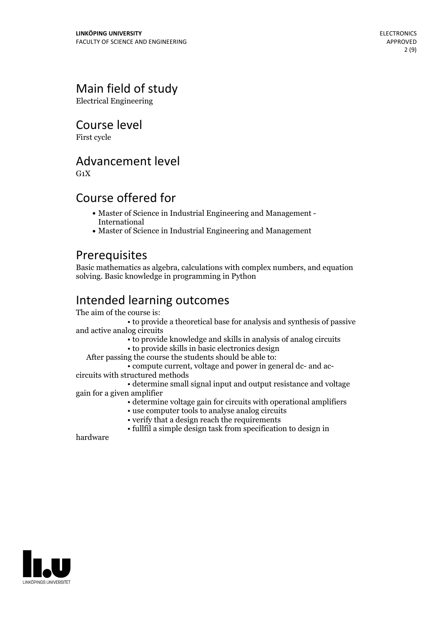# Main field of study

Electrical Engineering

# Course level

First cycle

## Advancement level

 $G_1X$ 

# Course offered for

- Master of Science in Industrial Engineering and Management International
- Master of Science in Industrial Engineering and Management

# **Prerequisites**

Basic mathematics as algebra, calculations with complex numbers, and equation solving. Basic knowledge in programming in Python

# Intended learning outcomes<br>The aim of the course is:

• to provide a theoretical base for analysis and synthesis of passive and active analog circuits

• to provide knowledge and skills in analysis of analog circuits

• to provide skills in basic electronics design

- $\bullet$  compute current, voltage and power in general dc- and accircuits with structured methods
	-

• determine small signal input and output resistance and voltage gain for a given amplifier

• determine voltage gain for circuits with operational amplifiers

- use computer tools to analyse analog circuits
- verify that a design reach the requirements
- fullfil a simple design task from specification to design in

hardware

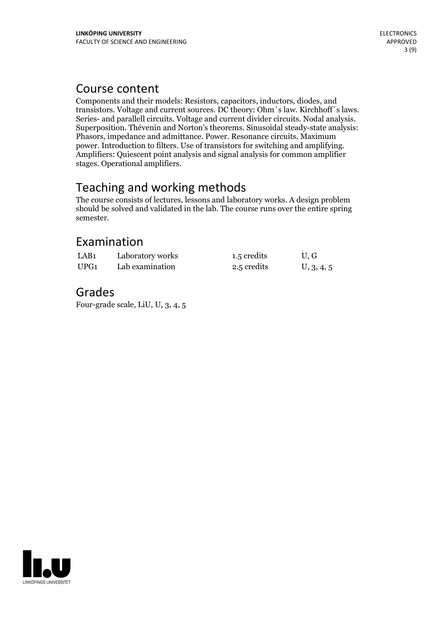## Course content

Components and their models: Resistors, capacitors, inductors, diodes, and transistors. Voltage and current sources. DC theory: Ohm's law. Kirchhoff's laws. Series- and parallell circuits. Voltage and current divider circuits. Nodal analysis.<br>Superposition. Thévenin and Norton's theorems. Sinusoidal steady-state analysis: Phasors, impedance and admittance. Power. Resonance circuits. Maximum power. Introduction to filters. Use of transistors for switching and amplifying. Amplifiers: Quiescent point analysis and signal analysis for common amplifier stages. Operational amplifiers.

# Teaching and working methods

The course consists of lectures, lessons and laboratory works. A design problem should be solved and validated in the lab. The course runs over the entire spring semester.

# Examination

| LAB <sub>1</sub> | Laboratory works | 1.5 credits | U, G       |
|------------------|------------------|-------------|------------|
| UPG1             | Lab examination  | 2.5 credits | U, 3, 4, 5 |

# Grades

Four-grade scale, LiU, U, 3, 4, 5

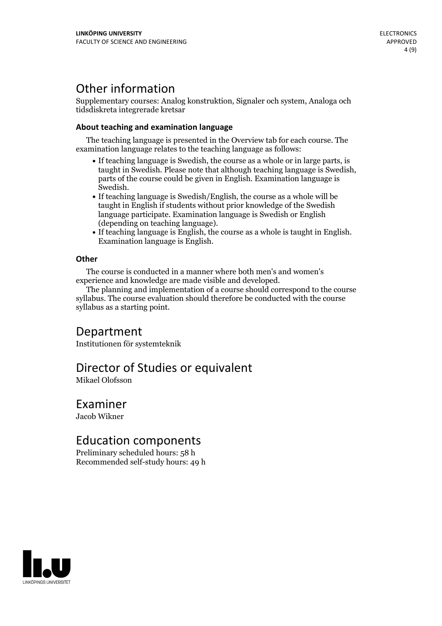# Other information

Supplementary courses: Analog konstruktion, Signaler och system, Analoga och tidsdiskreta integrerade kretsar

## **About teaching and examination language**

The teaching language is presented in the Overview tab for each course. The examination language relates to the teaching language as follows:

- If teaching language is Swedish, the course as a whole or in large parts, is taught in Swedish. Please note that although teaching language is Swedish, parts of the course could be given in English. Examination language is
- Swedish.<br>• If teaching language is Swedish/English, the course as a whole will be taught in English if students without prior knowledge of the Swedish language participate. Examination language is Swedish or English
- $\bullet$  If teaching language is English, the course as a whole is taught in English. Examination language is English.

## **Other**

The course is conducted in a manner where both men's and women's

The planning and implementation of a course should correspond to the course syllabus. The course evaluation should therefore be conducted with the course syllabus as a starting point.

# Department

Institutionen för systemteknik

## Director of Studies or equivalent

Mikael Olofsson

## Examiner

Jacob Wikner

## Education components

Preliminary scheduled hours: 58 h Recommended self-study hours: 49 h

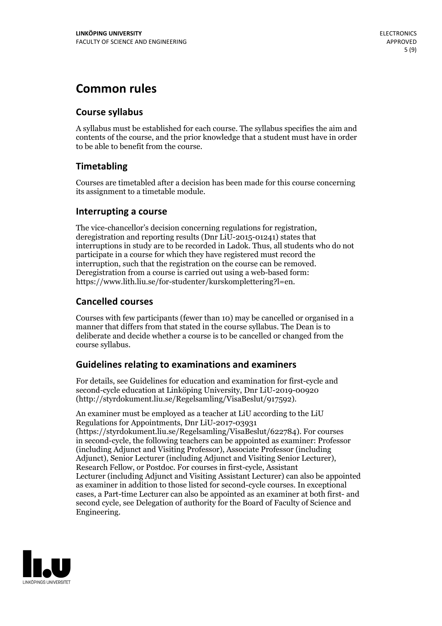# **Common rules**

## **Course syllabus**

A syllabus must be established for each course. The syllabus specifies the aim and contents of the course, and the prior knowledge that a student must have in order to be able to benefit from the course.

## **Timetabling**

Courses are timetabled after a decision has been made for this course concerning its assignment to a timetable module.

## **Interrupting a course**

The vice-chancellor's decision concerning regulations for registration, deregistration and reporting results (Dnr LiU-2015-01241) states that interruptions in study are to be recorded in Ladok. Thus, all students who do not participate in a course for which they have registered must record the interruption, such that the registration on the course can be removed. Deregistration from <sup>a</sup> course is carried outusing <sup>a</sup> web-based form: https://www.lith.liu.se/for-studenter/kurskomplettering?l=en.

## **Cancelled courses**

Courses with few participants (fewer than 10) may be cancelled or organised in a manner that differs from that stated in the course syllabus. The Dean is to deliberate and decide whether a course is to be cancelled or changed from the course syllabus.

## **Guidelines relatingto examinations and examiners**

For details, see Guidelines for education and examination for first-cycle and second-cycle education at Linköping University, Dnr LiU-2019-00920 (http://styrdokument.liu.se/Regelsamling/VisaBeslut/917592).

An examiner must be employed as a teacher at LiU according to the LiU Regulations for Appointments, Dnr LiU-2017-03931 (https://styrdokument.liu.se/Regelsamling/VisaBeslut/622784). For courses in second-cycle, the following teachers can be appointed as examiner: Professor (including Adjunct and Visiting Professor), Associate Professor (including Adjunct), Senior Lecturer (including Adjunct and Visiting Senior Lecturer), Research Fellow, or Postdoc. For courses in first-cycle, Assistant Lecturer (including Adjunct and Visiting Assistant Lecturer) can also be appointed as examiner in addition to those listed for second-cycle courses. In exceptional cases, a Part-time Lecturer can also be appointed as an examiner at both first- and second cycle, see Delegation of authority for the Board of Faculty of Science and Engineering.

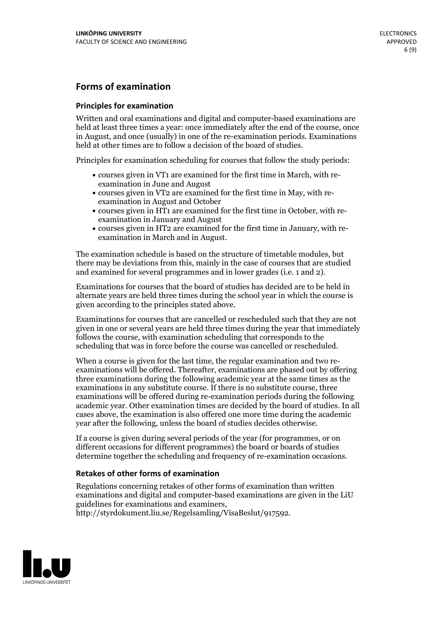## **Forms of examination**

#### **Principles for examination**

Written and oral examinations and digital and computer-based examinations are held at least three times a year: once immediately after the end of the course, once in August, and once (usually) in one of the re-examination periods. Examinations held at other times are to follow a decision of the board of studies.

Principles for examination scheduling for courses that follow the study periods:

- courses given in VT1 are examined for the first time in March, with re-examination in June and August
- courses given in VT2 are examined for the first time in May, with re-examination in August and October
- courses given in HT1 are examined for the first time in October, with re-examination in January and August
- courses given in HT2 are examined for the first time in January, with re-examination in March and in August.

The examination schedule is based on the structure of timetable modules, but there may be deviations from this, mainly in the case of courses that are studied and examined for several programmes and in lower grades (i.e. 1 and 2).

Examinations for courses that the board of studies has decided are to be held in alternate years are held three times during the school year in which the course is given according to the principles stated above.

Examinations for courses that are cancelled orrescheduled such that they are not given in one or several years are held three times during the year that immediately follows the course, with examination scheduling that corresponds to the scheduling that was in force before the course was cancelled or rescheduled.

When a course is given for the last time, the regular examination and two re-<br>examinations will be offered. Thereafter, examinations are phased out by offering three examinations during the following academic year at the same times as the examinations in any substitute course. If there is no substitute course, three examinations will be offered during re-examination periods during the following academic year. Other examination times are decided by the board of studies. In all cases above, the examination is also offered one more time during the academic year after the following, unless the board of studies decides otherwise.

If a course is given during several periods of the year (for programmes, or on different occasions for different programmes) the board or boards of studies determine together the scheduling and frequency of re-examination occasions.

### **Retakes of other forms of examination**

Regulations concerning retakes of other forms of examination than written examinations and digital and computer-based examinations are given in the LiU guidelines for examinations and examiners, http://styrdokument.liu.se/Regelsamling/VisaBeslut/917592.

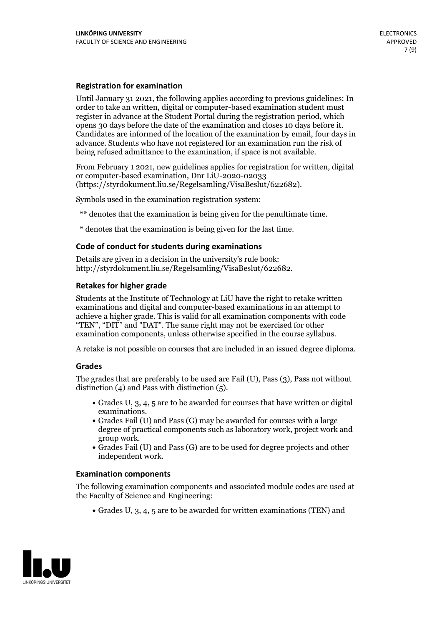### **Registration for examination**

Until January 31 2021, the following applies according to previous guidelines: In order to take an written, digital or computer-based examination student must register in advance at the Student Portal during the registration period, which Candidates are informed of the location of the examination by email, four days in advance. Students who have not registered for an examination run the risk of being refused admittance to the examination, if space is not available.

From February 1 2021, new guidelines applies for registration for written, digital or computer-based examination, Dnr LiU-2020-02033 (https://styrdokument.liu.se/Regelsamling/VisaBeslut/622682).

Symbols used in the examination registration system:

\*\* denotes that the examination is being given for the penultimate time.

\* denotes that the examination is being given for the last time.

#### **Code of conduct for students during examinations**

Details are given in a decision in the university's rule book: http://styrdokument.liu.se/Regelsamling/VisaBeslut/622682.

### **Retakes for higher grade**

Students at the Institute of Technology at LiU have the right to retake written examinations and digital and computer-based examinations in an attempt to achieve a higher grade. This is valid for all examination components with code "TEN", "DIT" and "DAT". The same right may not be exercised for other examination components, unless otherwise specified in the course syllabus.

A retake is not possible on courses that are included in an issued degree diploma.

#### **Grades**

The grades that are preferably to be used are Fail (U), Pass (3), Pass not without distinction  $(4)$  and Pass with distinction  $(5)$ .

- Grades U, 3, 4, 5 are to be awarded for courses that have written or digital examinations.<br>• Grades Fail (U) and Pass (G) may be awarded for courses with a large
- degree of practical components such as laboratory work, project work and
- $\bullet$  Grades Fail (U) and Pass (G) are to be used for degree projects and other independent work.

#### **Examination components**

The following examination components and associated module codes are used at the Faculty of Science and Engineering:

Grades U, 3, 4, 5 are to be awarded for written examinations (TEN) and

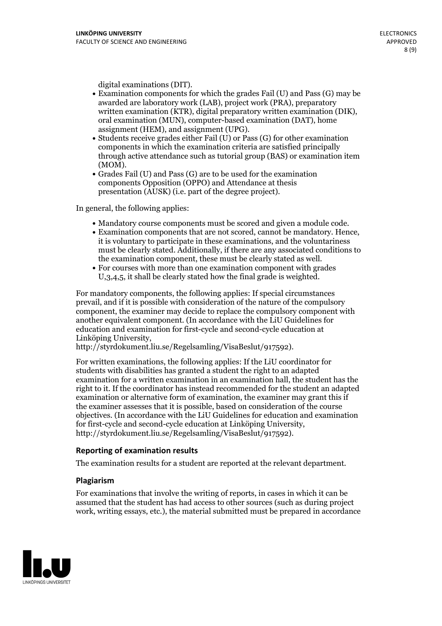- digital examinations (DIT).<br>• Examination components for which the grades Fail (U) and Pass (G) may be awarded are laboratory work (LAB), project work (PRA), preparatory written examination (KTR), digital preparatory written examination (DIK), oral examination (MUN), computer-based examination (DAT), home
- assignment (HEM), and assignment (UPG).<br>• Students receive grades either Fail (U) or Pass (G) for other examination components in which the examination criteria are satisfied principally through active attendance such as tutorial group (BAS) or examination item
- (MOM).<br>• Grades Fail (U) and Pass (G) are to be used for the examination components Opposition (OPPO) and Attendance at thesis presentation (AUSK) (i.e. part of the degree project).

In general, the following applies:

- 
- Mandatory course components must be scored and given <sup>a</sup> module code. Examination components that are not scored, cannot be mandatory. Hence, it is voluntary to participate in these examinations, and the voluntariness must be clearly stated. Additionally, if there are any associated conditions to the examination component, these must be clearly stated as well.<br>• For courses with more than one examination component with grades
- U,3,4,5, it shall be clearly stated how the final grade is weighted.

For mandatory components, the following applies: If special circumstances prevail, and if it is possible with consideration of the nature ofthe compulsory component, the examiner may decide to replace the compulsory component with another equivalent component. (In accordance with the LiU Guidelines for education and examination for first-cycle and second-cycle education at Linköping University, http://styrdokument.liu.se/Regelsamling/VisaBeslut/917592).

For written examinations, the following applies: If the LiU coordinator for students with disabilities has granted a student the right to an adapted examination for a written examination in an examination hall, the student has the right to it. If the coordinator has instead recommended for the student an adapted examination or alternative form of examination, the examiner may grant this if the examiner assesses that it is possible, based on consideration of the course objectives. (In accordance with the LiU Guidelines for education and examination for first-cycle and second-cycle education at Linköping University, http://styrdokument.liu.se/Regelsamling/VisaBeslut/917592).

#### **Reporting of examination results**

The examination results for a student are reported at the relevant department.

#### **Plagiarism**

For examinations that involve the writing of reports, in cases in which it can be assumed that the student has had access to other sources (such as during project work, writing essays, etc.), the material submitted must be prepared in accordance